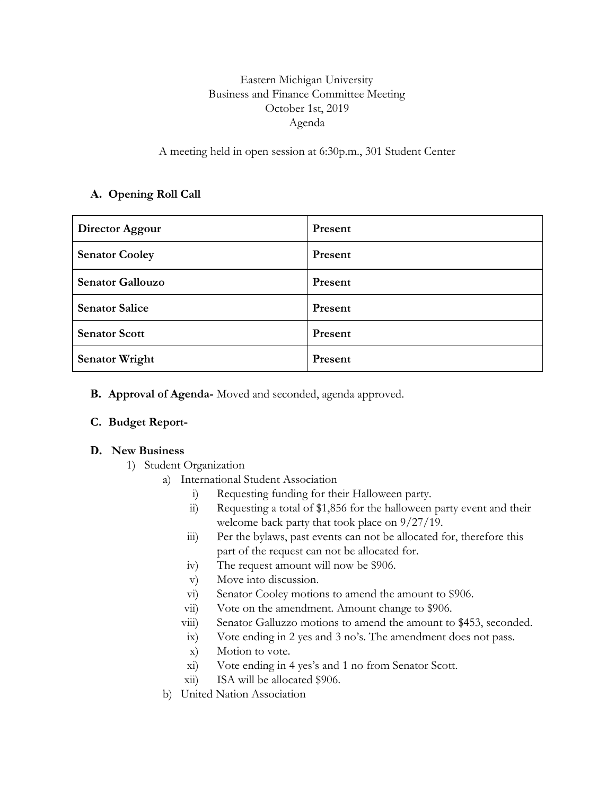# Eastern Michigan University Business and Finance Committee Meeting October 1st, 2019 Agenda

A meeting held in open session at 6:30p.m., 301 Student Center

## **A. Opening Roll Call**

| Director Aggour         | Present |
|-------------------------|---------|
| <b>Senator Cooley</b>   | Present |
| <b>Senator Gallouzo</b> | Present |
| <b>Senator Salice</b>   | Present |
| <b>Senator Scott</b>    | Present |
| <b>Senator Wright</b>   | Present |

### **B. Approval of Agenda-** Moved and seconded, agenda approved.

### **C. Budget Report-**

#### **D. New Business**

- 1) Student Organization
	- a) International Student Association
		- i) Requesting funding for their Halloween party.
		- ii) Requesting a total of \$1,856 for the halloween party event and their welcome back party that took place on 9/27/19.
		- iii) Per the bylaws, past events can not be allocated for, therefore this part of the request can not be allocated for.
		- iv) The request amount will now be \$906.
		- v) Move into discussion.
		- vi) Senator Cooley motions to amend the amount to \$906.
		- vii) Vote on the amendment. Amount change to \$906.
		- viii) Senator Galluzzo motions to amend the amount to \$453, seconded.
		- ix) Vote ending in 2 yes and 3 no's. The amendment does not pass.
		- x) Motion to vote.
		- xi) Vote ending in 4 yes's and 1 no from Senator Scott.
		- xii) ISA will be allocated \$906.
	- b) United Nation Association